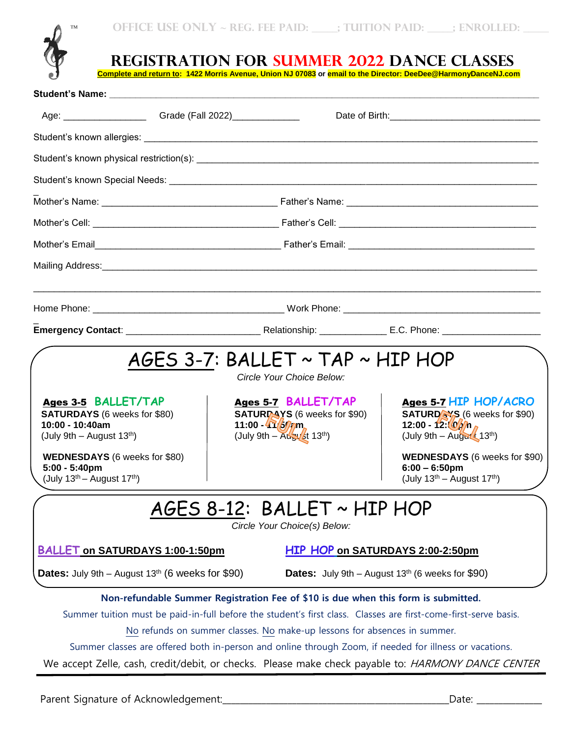



**REGISTRATION FOR SUMMER 2022 DANCE CLASSES**

**Complete and return to: 1422 Morris Avenue, Union NJ 07083 or email to the Director: DeeDee@HarmonyDanceNJ.com**

| Student's Name: Student's Name:                                                                                                                                                                                            |                                                                                                                                                                |                                                                                                                                                                                                                                                                                                                                 |
|----------------------------------------------------------------------------------------------------------------------------------------------------------------------------------------------------------------------------|----------------------------------------------------------------------------------------------------------------------------------------------------------------|---------------------------------------------------------------------------------------------------------------------------------------------------------------------------------------------------------------------------------------------------------------------------------------------------------------------------------|
| Age: __________________________Grade (Fall 2022)__________________                                                                                                                                                         |                                                                                                                                                                |                                                                                                                                                                                                                                                                                                                                 |
|                                                                                                                                                                                                                            |                                                                                                                                                                |                                                                                                                                                                                                                                                                                                                                 |
|                                                                                                                                                                                                                            |                                                                                                                                                                |                                                                                                                                                                                                                                                                                                                                 |
|                                                                                                                                                                                                                            |                                                                                                                                                                |                                                                                                                                                                                                                                                                                                                                 |
|                                                                                                                                                                                                                            |                                                                                                                                                                |                                                                                                                                                                                                                                                                                                                                 |
|                                                                                                                                                                                                                            |                                                                                                                                                                |                                                                                                                                                                                                                                                                                                                                 |
|                                                                                                                                                                                                                            |                                                                                                                                                                |                                                                                                                                                                                                                                                                                                                                 |
|                                                                                                                                                                                                                            |                                                                                                                                                                |                                                                                                                                                                                                                                                                                                                                 |
|                                                                                                                                                                                                                            |                                                                                                                                                                |                                                                                                                                                                                                                                                                                                                                 |
|                                                                                                                                                                                                                            |                                                                                                                                                                |                                                                                                                                                                                                                                                                                                                                 |
| Ages 3-5 BALLET/TAP<br><b>SATURDAYS</b> (6 weeks for \$80)<br>10:00 - 10:40am<br>(July 9th - August 13 <sup>th</sup> )<br><b>WEDNESDAYS</b> (6 weeks for \$80)<br>$5:00 - 5:40$ pm<br>(July $13^{th}$ – August $17^{th}$ ) | Ages 5-7 BALLET/TAP<br><b>SATURPAYS</b> (6 weeks for \$90)<br>11:00 $-47/5/7$ m<br>$(July 9th - Augy St 13th)$<br>AGES 8-12: BALLET ~ HIP HOP                  | Ages 5-7 HIP HOP/ACRO<br><b>SATURDAYS</b> (6 weeks for \$90)<br>12:00 - 12: $\frac{(0)}{2}$ $n_A$<br>(July 9th $-$ August 13 <sup>th</sup> )<br>WEDNESDAYS (6 weeks for \$90)<br>$6:00 - 6:50$ pm<br>$(July 13th – August 17th)$                                                                                                |
| <b>BALLET on SATURDAYS 1:00-1:50pm</b><br><b>Dates:</b> July 9th – August $13th$ (6 weeks for \$90)                                                                                                                        | Circle Your Choice(s) Below:                                                                                                                                   | HIP HOP on SATURDAYS 2:00-2:50pm<br><b>Dates:</b> July 9th - August $13th$ (6 weeks for \$90)                                                                                                                                                                                                                                   |
|                                                                                                                                                                                                                            | Non-refundable Summer Registration Fee of \$10 is due when this form is submitted.<br>No refunds on summer classes. No make-up lessons for absences in summer. | Summer tuition must be paid-in-full before the student's first class. Classes are first-come-first-serve basis.<br>Summer classes are offered both in-person and online through Zoom, if needed for illness or vacations.<br>We accept Zelle, cash, credit/debit, or checks. Please make check payable to: HARMONY DANCE CENTER |
|                                                                                                                                                                                                                            |                                                                                                                                                                | Date: and the state of the state of the state of the state of the state of the state of the state of the state of the state of the state of the state of the state of the state of the state of the state of the state of the                                                                                                   |